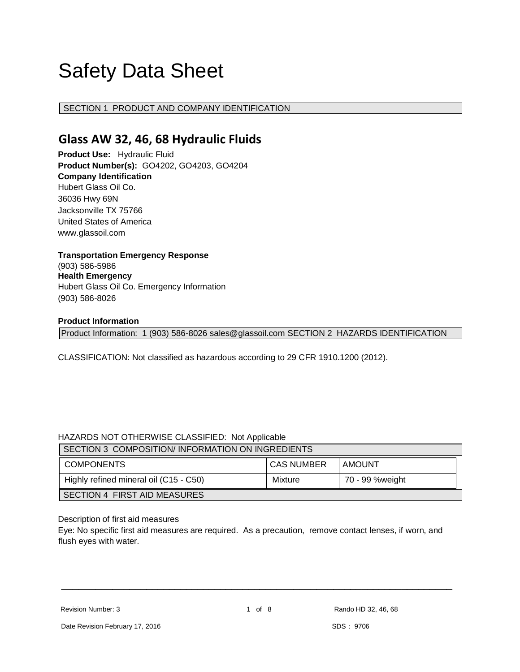# Safety Data Sheet

## SECTION 1 PRODUCT AND COMPANY IDENTIFICATION

# **Glass AW 32, 46, 68 Hydraulic Fluids**

**Product Use:** Hydraulic Fluid **Product Number(s):** GO4202, GO4203, GO4204 **Company Identification** Hubert Glass Oil Co. 36036 Hwy 69N Jacksonville TX 75766 United States of America www.glassoil.com

## **Transportation Emergency Response** (903) 586-5986 **Health Emergency** Hubert Glass Oil Co. Emergency Information (903) 586-8026

#### **Product Information**

Product Information: 1 (903) 586-8026 sales@glassoil.com SECTION 2 HAZARDS IDENTIFICATION

CLASSIFICATION: Not classified as hazardous according to 29 CFR 1910.1200 (2012).

## HAZARDS NOT OTHERWISE CLASSIFIED: Not Applicable

| SECTION 3 COMPOSITION/INFORMATION ON INGREDIENTS |                   |                 |  |  |
|--------------------------------------------------|-------------------|-----------------|--|--|
| <b>COMPONENTS</b>                                | <b>CAS NUMBER</b> | AMOUNT          |  |  |
| Highly refined mineral oil (C15 - C50)           | Mixture           | 70 - 99 %weight |  |  |
| <b>SECTION 4 FIRST AID MEASURES</b>              |                   |                 |  |  |

Description of first aid measures

Eye: No specific first aid measures are required. As a precaution, remove contact lenses, if worn, and flush eyes with water.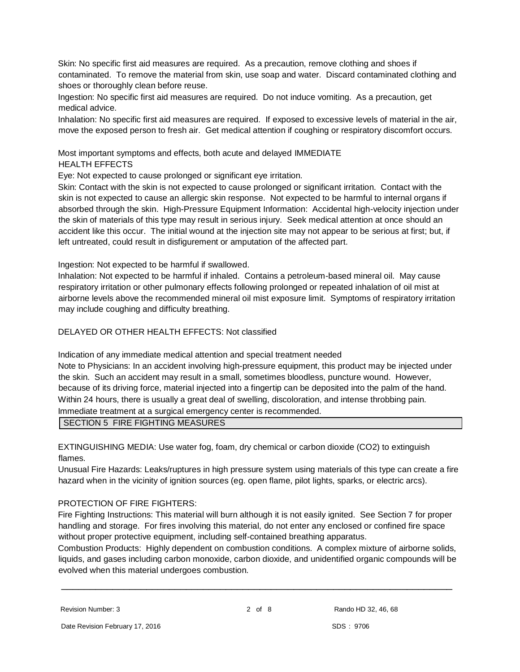Skin: No specific first aid measures are required. As a precaution, remove clothing and shoes if contaminated. To remove the material from skin, use soap and water. Discard contaminated clothing and shoes or thoroughly clean before reuse.

Ingestion: No specific first aid measures are required. Do not induce vomiting. As a precaution, get medical advice.

Inhalation: No specific first aid measures are required. If exposed to excessive levels of material in the air, move the exposed person to fresh air. Get medical attention if coughing or respiratory discomfort occurs.

Most important symptoms and effects, both acute and delayed IMMEDIATE HEALTH EFFECTS

Eye: Not expected to cause prolonged or significant eye irritation.

Skin: Contact with the skin is not expected to cause prolonged or significant irritation. Contact with the skin is not expected to cause an allergic skin response. Not expected to be harmful to internal organs if absorbed through the skin. High-Pressure Equipment Information: Accidental high-velocity injection under the skin of materials of this type may result in serious injury. Seek medical attention at once should an accident like this occur. The initial wound at the injection site may not appear to be serious at first; but, if left untreated, could result in disfigurement or amputation of the affected part.

Ingestion: Not expected to be harmful if swallowed.

Inhalation: Not expected to be harmful if inhaled. Contains a petroleum-based mineral oil. May cause respiratory irritation or other pulmonary effects following prolonged or repeated inhalation of oil mist at airborne levels above the recommended mineral oil mist exposure limit. Symptoms of respiratory irritation may include coughing and difficulty breathing.

DELAYED OR OTHER HEALTH EFFECTS: Not classified

Indication of any immediate medical attention and special treatment needed

Note to Physicians: In an accident involving high-pressure equipment, this product may be injected under the skin. Such an accident may result in a small, sometimes bloodless, puncture wound. However, because of its driving force, material injected into a fingertip can be deposited into the palm of the hand. Within 24 hours, there is usually a great deal of swelling, discoloration, and intense throbbing pain. Immediate treatment at a surgical emergency center is recommended.

SECTION 5 FIRE FIGHTING MEASURES

EXTINGUISHING MEDIA: Use water fog, foam, dry chemical or carbon dioxide (CO2) to extinguish flames.

Unusual Fire Hazards: Leaks/ruptures in high pressure system using materials of this type can create a fire hazard when in the vicinity of ignition sources (eg. open flame, pilot lights, sparks, or electric arcs).

## PROTECTION OF FIRE FIGHTERS:

Fire Fighting Instructions: This material will burn although it is not easily ignited. See Section 7 for proper handling and storage. For fires involving this material, do not enter any enclosed or confined fire space without proper protective equipment, including self-contained breathing apparatus.

Combustion Products: Highly dependent on combustion conditions. A complex mixture of airborne solids, liquids, and gases including carbon monoxide, carbon dioxide, and unidentified organic compounds will be evolved when this material undergoes combustion.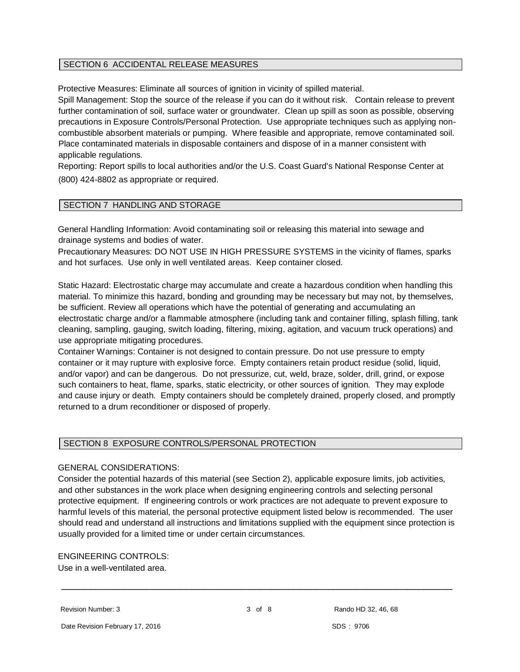## SECTION 6 ACCIDENTAL RELEASE MEASURES

Protective Measures: Eliminate all sources of ignition in vicinity of spilled material.

Spill Management: Stop the source of the release if you can do it without risk. Contain release to prevent further contamination of soil, surface water or groundwater. Clean up spill as soon as possible, observing precautions in Exposure Controls/Personal Protection. Use appropriate techniques such as applying noncombustible absorbent materials or pumping. Where feasible and appropriate, remove contaminated soil. Place contaminated materials in disposable containers and dispose of in a manner consistent with applicable regulations.

Reporting: Report spills to local authorities and/or the U.S. Coast Guard's National Response Center at (800) 424-8802 as appropriate or required.

## SECTION 7 HANDLING AND STORAGE

General Handling Information: Avoid contaminating soil or releasing this material into sewage and drainage systems and bodies of water.

Precautionary Measures: DO NOT USE IN HIGH PRESSURE SYSTEMS in the vicinity of flames, sparks and hot surfaces. Use only in well ventilated areas. Keep container closed.

Static Hazard: Electrostatic charge may accumulate and create a hazardous condition when handling this material. To minimize this hazard, bonding and grounding may be necessary but may not, by themselves, be sufficient. Review all operations which have the potential of generating and accumulating an electrostatic charge and/or a flammable atmosphere (including tank and container filling, splash filling, tank cleaning, sampling, gauging, switch loading, filtering, mixing, agitation, and vacuum truck operations) and use appropriate mitigating procedures.

Container Warnings: Container is not designed to contain pressure. Do not use pressure to empty container or it may rupture with explosive force. Empty containers retain product residue (solid, liquid, and/or vapor) and can be dangerous. Do not pressurize, cut, weld, braze, solder, drill, grind, or expose such containers to heat, flame, sparks, static electricity, or other sources of ignition. They may explode and cause injury or death. Empty containers should be completely drained, properly closed, and promptly returned to a drum reconditioner or disposed of properly.

## SECTION 8 EXPOSURE CONTROLS/PERSONAL PROTECTION

## GENERAL CONSIDERATIONS:

Consider the potential hazards of this material (see Section 2), applicable exposure limits, job activities, and other substances in the work place when designing engineering controls and selecting personal protective equipment. If engineering controls or work practices are not adequate to prevent exposure to harmful levels of this material, the personal protective equipment listed below is recommended. The user should read and understand all instructions and limitations supplied with the equipment since protection is usually provided for a limited time or under certain circumstances.

ENGINEERING CONTROLS:

Use in a well-ventilated area.

Revision Number: 3 3 0 3 of 8 Rando HD 32, 46, 68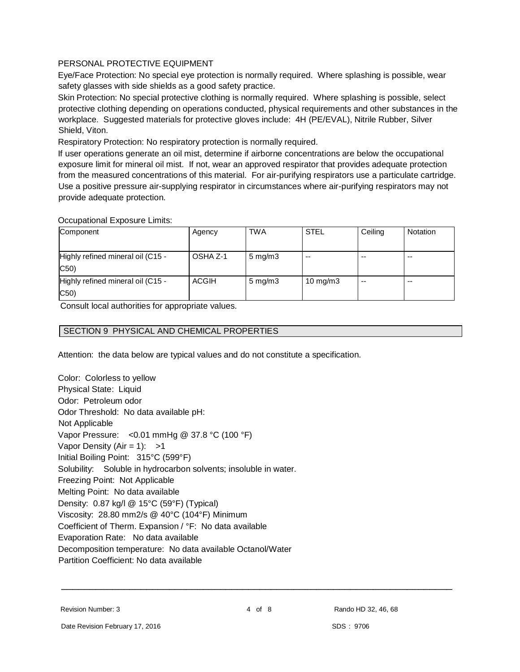## PERSONAL PROTECTIVE EQUIPMENT

Eye/Face Protection: No special eye protection is normally required. Where splashing is possible, wear safety glasses with side shields as a good safety practice.

Skin Protection: No special protective clothing is normally required. Where splashing is possible, select protective clothing depending on operations conducted, physical requirements and other substances in the workplace. Suggested materials for protective gloves include: 4H (PE/EVAL), Nitrile Rubber, Silver Shield, Viton.

Respiratory Protection: No respiratory protection is normally required.

If user operations generate an oil mist, determine if airborne concentrations are below the occupational exposure limit for mineral oil mist. If not, wear an approved respirator that provides adequate protection from the measured concentrations of this material. For air-purifying respirators use a particulate cartridge. Use a positive pressure air-supplying respirator in circumstances where air-purifying respirators may not provide adequate protection.

## Occupational Exposure Limits:

| Component                         | Agency       | <b>TWA</b>         | <b>STEL</b> | Ceiling | Notation |
|-----------------------------------|--------------|--------------------|-------------|---------|----------|
|                                   |              |                    |             |         |          |
| Highly refined mineral oil (C15 - | OSHA Z-1     | $5 \text{ mg/m}$ 3 | --          | --      | $- -$    |
| C50                               |              |                    |             |         |          |
| Highly refined mineral oil (C15 - | <b>ACGIH</b> | $5 \text{ mg/m}$ 3 | 10 mg/m $3$ | $- -$   | $- -$    |
| C50)                              |              |                    |             |         |          |

Consult local authorities for appropriate values.

## SECTION 9 PHYSICAL AND CHEMICAL PROPERTIES

Attention: the data below are typical values and do not constitute a specification.

Color: Colorless to yellow Physical State: Liquid Odor: Petroleum odor Odor Threshold: No data available pH: Not Applicable Vapor Pressure: <0.01 mmHg @ 37.8 °C (100 °F) Vapor Density (Air = 1):  $>1$ Initial Boiling Point: 315°C (599°F) Solubility: Soluble in hydrocarbon solvents; insoluble in water. Freezing Point: Not Applicable Melting Point: No data available Density: 0.87 kg/l @ 15°C (59°F) (Typical) Viscosity: 28.80 mm2/s @ 40°C (104°F) Minimum Coefficient of Therm. Expansion / °F: No data available Evaporation Rate: No data available Decomposition temperature: No data available Octanol/Water Partition Coefficient: No data available

Revision Number: 3 **Access 2** 4 Of 8 Rando HD 32, 46, 68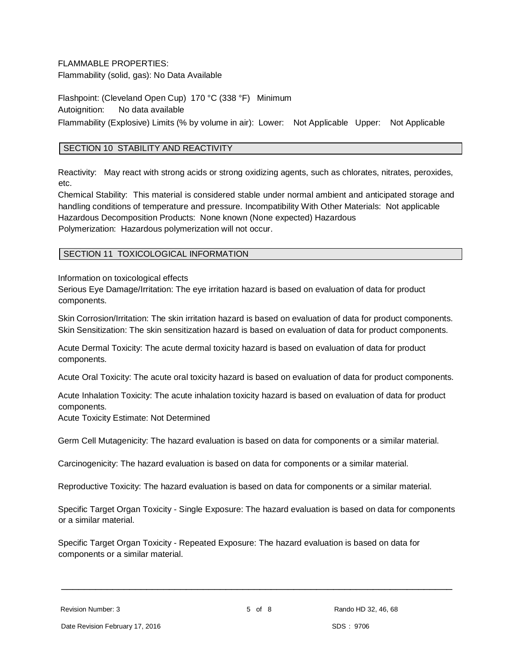## FLAMMABLE PROPERTIES:

Flammability (solid, gas): No Data Available

Flashpoint: (Cleveland Open Cup) 170 °C (338 °F) Minimum Autoignition: No data available Flammability (Explosive) Limits (% by volume in air): Lower: Not Applicable Upper: Not Applicable

## SECTION 10 STABILITY AND REACTIVITY

Reactivity: May react with strong acids or strong oxidizing agents, such as chlorates, nitrates, peroxides, etc.

Chemical Stability: This material is considered stable under normal ambient and anticipated storage and handling conditions of temperature and pressure. Incompatibility With Other Materials: Not applicable Hazardous Decomposition Products: None known (None expected) Hazardous Polymerization: Hazardous polymerization will not occur.

## SECTION 11 TOXICOLOGICAL INFORMATION

Information on toxicological effects

Serious Eye Damage/Irritation: The eye irritation hazard is based on evaluation of data for product components.

Skin Corrosion/Irritation: The skin irritation hazard is based on evaluation of data for product components. Skin Sensitization: The skin sensitization hazard is based on evaluation of data for product components.

Acute Dermal Toxicity: The acute dermal toxicity hazard is based on evaluation of data for product components.

Acute Oral Toxicity: The acute oral toxicity hazard is based on evaluation of data for product components.

Acute Inhalation Toxicity: The acute inhalation toxicity hazard is based on evaluation of data for product components.

Acute Toxicity Estimate: Not Determined

Germ Cell Mutagenicity: The hazard evaluation is based on data for components or a similar material.

Carcinogenicity: The hazard evaluation is based on data for components or a similar material.

Reproductive Toxicity: The hazard evaluation is based on data for components or a similar material.

Specific Target Organ Toxicity - Single Exposure: The hazard evaluation is based on data for components or a similar material.

Specific Target Organ Toxicity - Repeated Exposure: The hazard evaluation is based on data for components or a similar material.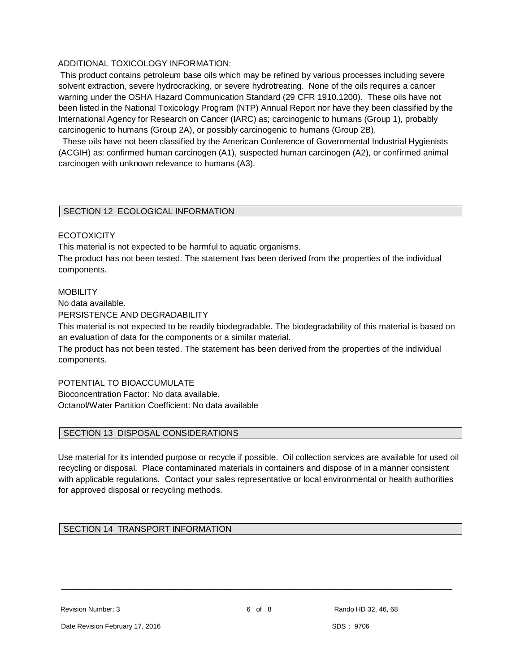## ADDITIONAL TOXICOLOGY INFORMATION:

This product contains petroleum base oils which may be refined by various processes including severe solvent extraction, severe hydrocracking, or severe hydrotreating. None of the oils requires a cancer warning under the OSHA Hazard Communication Standard (29 CFR 1910.1200). These oils have not been listed in the National Toxicology Program (NTP) Annual Report nor have they been classified by the International Agency for Research on Cancer (IARC) as; carcinogenic to humans (Group 1), probably carcinogenic to humans (Group 2A), or possibly carcinogenic to humans (Group 2B).

 These oils have not been classified by the American Conference of Governmental Industrial Hygienists (ACGIH) as: confirmed human carcinogen (A1), suspected human carcinogen (A2), or confirmed animal carcinogen with unknown relevance to humans (A3).

#### SECTION 12 ECOLOGICAL INFORMATION

#### **ECOTOXICITY**

This material is not expected to be harmful to aquatic organisms.

The product has not been tested. The statement has been derived from the properties of the individual components.

#### MOBILITY

No data available.

PERSISTENCE AND DEGRADABILITY

This material is not expected to be readily biodegradable. The biodegradability of this material is based on an evaluation of data for the components or a similar material.

The product has not been tested. The statement has been derived from the properties of the individual components.

#### POTENTIAL TO BIOACCUMULATE

Bioconcentration Factor: No data available. Octanol/Water Partition Coefficient: No data available

#### SECTION 13 DISPOSAL CONSIDERATIONS

Use material for its intended purpose or recycle if possible. Oil collection services are available for used oil recycling or disposal. Place contaminated materials in containers and dispose of in a manner consistent with applicable regulations. Contact your sales representative or local environmental or health authorities for approved disposal or recycling methods.

## SECTION 14 TRANSPORT INFORMATION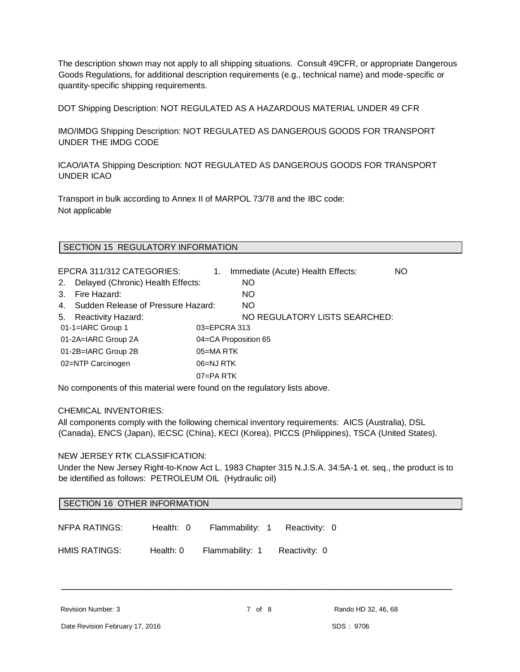The description shown may not apply to all shipping situations. Consult 49CFR, or appropriate Dangerous Goods Regulations, for additional description requirements (e.g., technical name) and mode-specific or quantity-specific shipping requirements.

DOT Shipping Description: NOT REGULATED AS A HAZARDOUS MATERIAL UNDER 49 CFR

IMO/IMDG Shipping Description: NOT REGULATED AS DANGEROUS GOODS FOR TRANSPORT UNDER THE IMDG CODE

ICAO/IATA Shipping Description: NOT REGULATED AS DANGEROUS GOODS FOR TRANSPORT UNDER ICAO

Transport in bulk according to Annex II of MARPOL 73/78 and the IBC code: Not applicable

## SECTION 15 REGULATORY INFORMATION

EPCRA 311/312 CATEGORIES: 1. Immediate (Acute) Health Effects: NO 2. Delayed (Chronic) Health Effects: NO 3. Fire Hazard: NO 4. Sudden Release of Pressure Hazard: NO 5. Reactivity Hazard: NO REGULATORY LISTS SEARCHED: 01-1=IARC Group 1 03=EPCRA 313 01-2A=IARC Group 2A 04=CA Proposition 65 01-2B=IARC Group 2B 05=MA RTK 02=NTP Carcinogen 06=NJ RTK 07=PA RTK

No components of this material were found on the regulatory lists above.

#### CHEMICAL INVENTORIES:

All components comply with the following chemical inventory requirements: AICS (Australia), DSL (Canada), ENCS (Japan), IECSC (China), KECI (Korea), PICCS (Philippines), TSCA (United States).

#### NEW JERSEY RTK CLASSIFICATION:

Under the New Jersey Right-to-Know Act L. 1983 Chapter 315 N.J.S.A. 34:5A-1 et. seq., the product is to be identified as follows: PETROLEUM OIL (Hydraulic oil)

| SECTION 16 OTHER INFORMATION |           |                 |               |  |
|------------------------------|-----------|-----------------|---------------|--|
| NFPA RATINGS:                | Health: 0 | Flammability: 1 | Reactivity: 0 |  |
| <b>HMIS RATINGS:</b>         | Health: 0 | Flammability: 1 | Reactivity: 0 |  |

Revision Number: 3 **Rando HD** 32, 46, 68